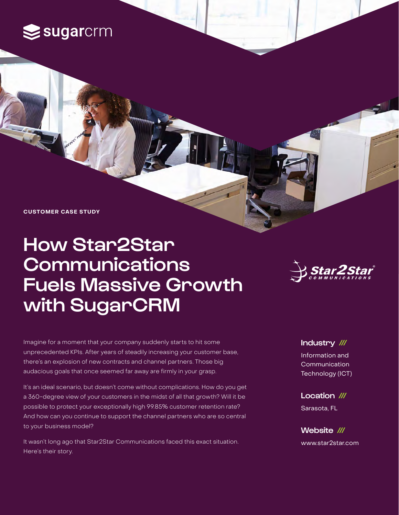# $\leq$ sugarcrm

**CUSTOMER CASE STUDY**

# How Star2Star **Communications** Fuels Massive Growth with SugarCRM



Imagine for a moment that your company suddenly starts to hit some unprecedented KPIs. After years of steadily increasing your customer base, there's an explosion of new contracts and channel partners. Those big audacious goals that once seemed far away are firmly in your grasp.

It's an ideal scenario, but doesn't come without complications. How do you get a 360-degree view of your customers in the midst of all that growth? Will it be possible to protect your exceptionally high 99.85% customer retention rate? And how can you continue to support the channel partners who are so central to your business model?

It wasn't long ago that Star2Star Communications faced this exact situation. Here's their story.

#### Industry ///

Information and Communication Technology (ICT)

Location /// Sarasota, FL

Website /// [www.star2star.com](https://www.star2star.com)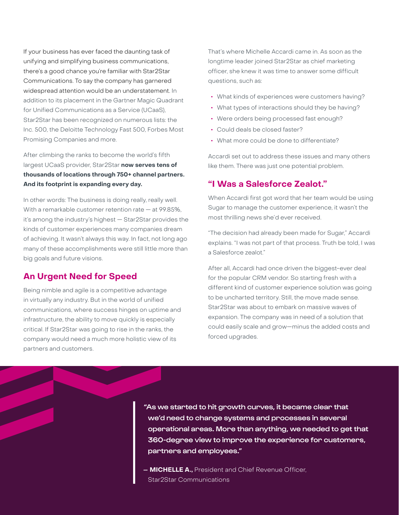If your business has ever faced the daunting task of unifying and simplifying business communications, there's a good chance you're familiar with Star2Star Communications. To say the company has garnered widespread attention would be an understatement. In addition to its placement in the Gartner Magic Quadrant for Unified Communications as a Service (UCaaS), Star2Star has been recognized on numerous lists: the Inc. 500, the Deloitte Technology Fast 500, Forbes Most Promising Companies and more.

After climbing the ranks to become the world's fifth largest UCaaS provider, Star2Star **now serves tens of thousands of locations through 750+ channel partners. And its footprint is expanding every day.**

In other words: The business is doing really, really well. With a remarkable customer retention rate — at 99.85%, it's among the industry's highest — Star2Star provides the kinds of customer experiences many companies dream of achieving. It wasn't always this way. In fact, not long ago many of these accomplishments were still little more than big goals and future visions.

## **An Urgent Need for Speed**

Being nimble and agile is a competitive advantage in virtually any industry. But in the world of unified communications, where success hinges on uptime and infrastructure, the ability to move quickly is especially critical. If Star2Star was going to rise in the ranks, the company would need a much more holistic view of its partners and customers.

That's where Michelle Accardi came in. As soon as the longtime leader joined Star2Star as chief marketing officer, she knew it was time to answer some difficult questions, such as:

- **•** What kinds of experiences were customers having?
- **•** What types of interactions should they be having?
- **•** Were orders being processed fast enough?
- **•** Could deals be closed faster?
- **•** What more could be done to differentiate?

Accardi set out to address these issues and many others like them. There was just one potential problem.

### **"I Was a Salesforce Zealot."**

When Accardi first got word that her team would be using Sugar to manage the customer experience, it wasn't the most thrilling news she'd ever received.

"The decision had already been made for Sugar," Accardi explains. "I was not part of that process. Truth be told, I was a Salesforce zealot."

After all, Accardi had once driven the biggest-ever deal for the popular CRM vendor. So starting fresh with a different kind of customer experience solution was going to be uncharted territory. Still, the move made sense. Star2Star was about to embark on massive waves of expansion. The company was in need of a solution that could easily scale and grow—minus the added costs and forced upgrades.

"As we started to hit growth curves, it became clear that we'd need to change systems and processes in several operational areas. More than anything, we needed to get that 360-degree view to improve the experience for customers, partners and employees."

**— MICHELLE A.,** President and Chief Revenue Officer, Star2Star Communications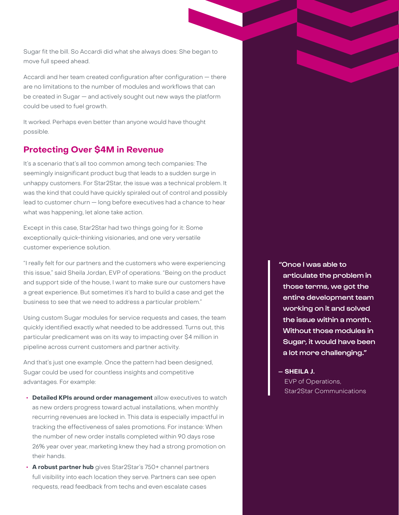Sugar fit the bill. So Accardi did what she always does: She began to move full speed ahead.

Accardi and her team created configuration after configuration — there are no limitations to the number of modules and workflows that can be created in Sugar — and actively sought out new ways the platform could be used to fuel growth.

It worked. Perhaps even better than anyone would have thought possible.

### **Protecting Over \$4M in Revenue**

It's a scenario that's all too common among tech companies: The seemingly insignificant product bug that leads to a sudden surge in unhappy customers. For Star2Star, the issue was a technical problem. It was the kind that could have quickly spiraled out of control and possibly lead to customer churn — long before executives had a chance to hear what was happening, let alone take action.

Except in this case, Star2Star had two things going for it: Some exceptionally quick-thinking visionaries, and one very versatile customer experience solution.

"I really felt for our partners and the customers who were experiencing this issue," said Sheila Jordan, EVP of operations. "Being on the product and support side of the house, I want to make sure our customers have a great experience. But sometimes it's hard to build a case and get the business to see that we need to address a particular problem."

Using custom Sugar modules for service requests and cases, the team quickly identified exactly what needed to be addressed. Turns out, this particular predicament was on its way to impacting over \$4 million in pipeline across current customers and partner activity.

And that's just one example. Once the pattern had been designed, Sugar could be used for countless insights and competitive advantages. For example:

- **• Detailed KPIs around order management** allow executives to watch as new orders progress toward actual installations, when monthly recurring revenues are locked in. This data is especially impactful in tracking the effectiveness of sales promotions. For instance: When the number of new order installs completed within 90 days rose 26% year over year, marketing knew they had a strong promotion on their hands.
- **• A robust partner hub** gives Star2Star's 750+ channel partners full visibility into each location they serve. Partners can see open requests, read feedback from techs and even escalate cases

"Once I was able to articulate the problem in those terms, we got the entire development team working on it and solved the issue within a month. Without those modules in Sugar, it would have been a lot more challenging."

**— SHEILA J.** EVP of Operations, Star2Star Communications